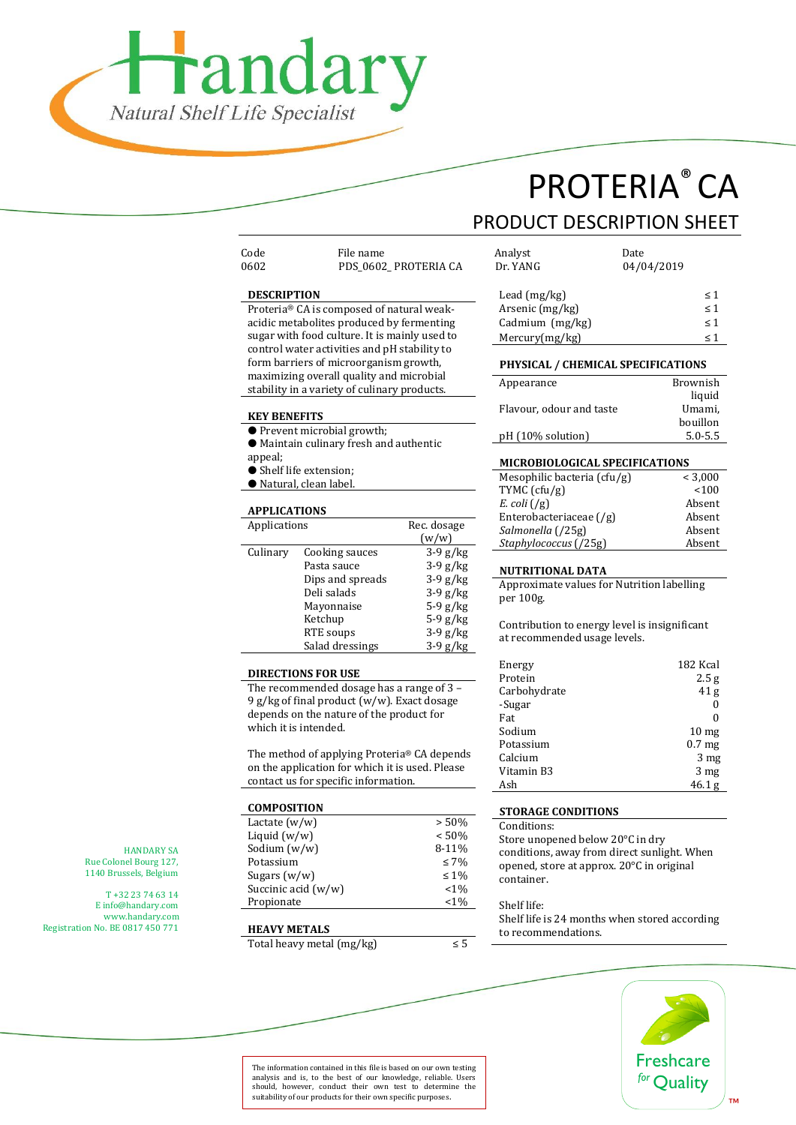

# PROTERIA® CA

### PRODUCT DESCRIPTION SHEET

| coae |  |
|------|--|
| 0602 |  |
|      |  |

Code File name Analyst Date PDS\_0602\_ PROTERIA CA

#### **DESCRIPTION**

Proteria® CA is composed of natural weakacidic metabolites produced by fermenting sugar with food culture. It is mainly used to control water activities and pH stability to form barriers of microorganism growth, maximizing overall quality and microbial stability in a variety of culinary products.

#### **KEY BENEFITS**

- Prevent microbial growth;
- Maintain culinary fresh and authentic
- appeal;
- $\bullet$  Shelf life extension:
- Natural, clean label.

#### **APPLICATIONS**

| Applications |                  | Rec. dosage |  |
|--------------|------------------|-------------|--|
|              |                  | (w/w)       |  |
| Culinary     | Cooking sauces   | $3-9$ g/kg  |  |
|              | Pasta sauce      | $3-9$ g/kg  |  |
|              | Dips and spreads | $3-9$ g/kg  |  |
|              | Deli salads      | $3-9$ g/kg  |  |
|              | Mayonnaise       | $5-9$ g/kg  |  |
|              | Ketchup          | $5-9$ g/kg  |  |
|              | RTE soups        | $3-9$ g/kg  |  |
|              | Salad dressings  | $3-9$ g/kg  |  |

#### **DIRECTIONS FOR USE**

The recommended dosage has a range of 3 – 9 g/kg of final product (w/w). Exact dosage depends on the nature of the product for which it is intended.

The method of applying Proteria® CA depends on the application for which it is used. Please contact us for specific information.

| <b>COMPOSITION</b>    |            |
|-----------------------|------------|
| Lactate $(w/w)$       | > 50%      |
| Liquid $(w/w)$        | < 50%      |
| Sodium (w/w)          | 8-11%      |
| Potassium             | $\leq 7\%$ |
| Sugars $(w/w)$        | $\leq 1\%$ |
| Succinic acid $(w/w)$ | $< 1\%$    |
| Propionate            | $< 1\%$    |

#### **HEAVY METALS**

Total heavy metal (mg/kg)  $\leq 5$ 

| Allalyst        | <b>Date</b> |          |
|-----------------|-------------|----------|
| Dr. YANG        | 04/04/2019  |          |
| Lead $(mg/kg)$  |             | $\leq 1$ |
| Arsenic (mg/kg) |             | < 1      |
| Cadmium (mg/kg) |             | < 1      |
| Mercury(mg/kg)  |             | ← 1      |

#### **PHYSICAL / CHEMICAL SPECIFICATIONS**

| Brownish    |
|-------------|
| liquid      |
| Umami,      |
| bouillon    |
| $5.0 - 5.5$ |
|             |

#### **MICROBIOLOGICAL SPECIFICATIONS**

| Mesophilic bacteria (cfu/g)        | < 3.000 |
|------------------------------------|---------|
| TYMC $(cfu/g)$                     | 100     |
| E. coli $(\frac{1}{g})$            | Absent  |
| Enterobacteriaceae $(\frac{g}{g})$ | Absent  |
| Salmonella (/25g)                  | Absent  |
| Staphylococcus (/25g)              | Absent  |

#### **NUTRITIONAL DATA**

Approximate values for Nutrition labelling per 100g.

Contribution to energy level is insignificant at recommended usage levels.

| Energy       | 182 Kcal          |
|--------------|-------------------|
| Protein      | 2.5 <sub>g</sub>  |
| Carbohydrate | 41 <sub>g</sub>   |
| -Sugar       |                   |
| Fat          |                   |
| Sodium       | 10 <sub>mg</sub>  |
| Potassium    | 0.7 <sub>mg</sub> |
| Calcium      | 3 <sub>mg</sub>   |
| Vitamin B3   | 3 <sub>mg</sub>   |
| Ash          | 46.1 <sub>g</sub> |

#### **STORAGE CONDITIONS**

Conditions:

Store unopened below 20°C in dry conditions, away from direct sunlight. When opened, store at approx. 20°C in original container.

#### Shelf life:

Shelf life is 24 months when stored according to recommendations.



HANDARY SA Rue Colonel Bourg 127, 1140 Brussels, Belgium

T +32 23 74 63 14 E info@handary.com [www.handary.com](http://www.handary.com/) Registration No. BE 0817 450 771

> The information contained in this file is based on our own testing analysis and is, to the best of our knowledge, reliable. Users should, however, conduct their own test to determine the suitability of our products for their own specific purposes.